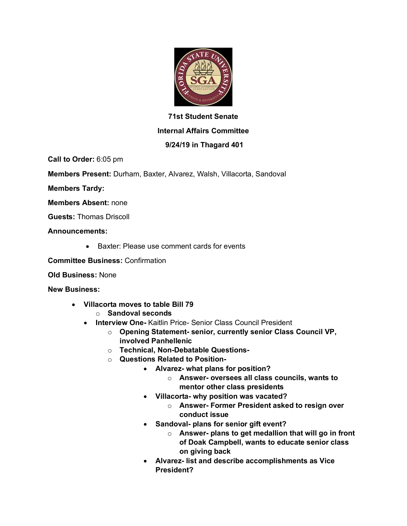

## **71st Student Senate**

## **Internal Affairs Committee**

## **9/24/19 in Thagard 401**

**Call to Order:** 6:05 pm

**Members Present:** Durham, Baxter, Alvarez, Walsh, Villacorta, Sandoval

**Members Tardy:**

**Members Absent:** none

**Guests:** Thomas Driscoll

**Announcements:**

• Baxter: Please use comment cards for events

**Committee Business:** Confirmation

**Old Business:** None

**New Business:**

- **Villacorta moves to table Bill 79**
	- o **Sandoval seconds**
	- **Interview One-** Kaitlin Price- Senior Class Council President
		- o **Opening Statement- senior, currently senior Class Council VP, involved Panhellenic**
		- o **Technical, Non-Debatable Questions-**
		- o **Questions Related to Position-**
			- **Alvarez- what plans for position?**
				- o **Answer- oversees all class councils, wants to mentor other class presidents**
			- **Villacorta- why position was vacated?**
				- o **Answer- Former President asked to resign over conduct issue**
			- **Sandoval- plans for senior gift event?**
				- o **Answer- plans to get medallion that will go in front of Doak Campbell, wants to educate senior class on giving back**
			- **Alvarez- list and describe accomplishments as Vice President?**